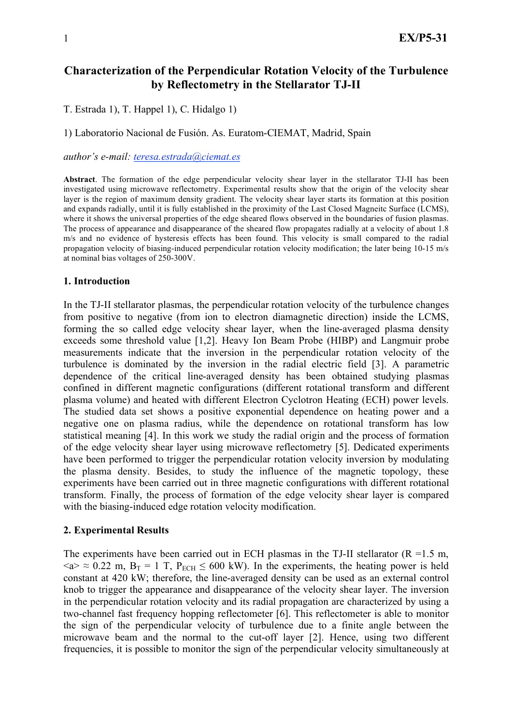# **Characterization of the Perpendicular Rotation Velocity of the Turbulence by Reflectometry in the Stellarator TJ-II**

T. Estrada 1), T. Happel 1), C. Hidalgo 1)

1) Laboratorio Nacional de Fusión. As. Euratom-CIEMAT, Madrid, Spain

#### *author's e-mail: teresa.estrada@ciemat.es*

**Abstract**. The formation of the edge perpendicular velocity shear layer in the stellarator TJ-II has been investigated using microwave reflectometry. Experimental results show that the origin of the velocity shear layer is the region of maximum density gradient. The velocity shear layer starts its formation at this position and expands radially, until it is fully established in the proximity of the Last Closed Magneitc Surface (LCMS), where it shows the universal properties of the edge sheared flows observed in the boundaries of fusion plasmas. The process of appearance and disappearance of the sheared flow propagates radially at a velocity of about 1.8 m/s and no evidence of hysteresis effects has been found. This velocity is small compared to the radial propagation velocity of biasing-induced perpendicular rotation velocity modification; the later being 10-15 m/s at nominal bias voltages of 250-300V.

#### **1. Introduction**

In the TJ-II stellarator plasmas, the perpendicular rotation velocity of the turbulence changes from positive to negative (from ion to electron diamagnetic direction) inside the LCMS, forming the so called edge velocity shear layer, when the line-averaged plasma density exceeds some threshold value [1,2]. Heavy Ion Beam Probe (HIBP) and Langmuir probe measurements indicate that the inversion in the perpendicular rotation velocity of the turbulence is dominated by the inversion in the radial electric field [3]. A parametric dependence of the critical line-averaged density has been obtained studying plasmas confined in different magnetic configurations (different rotational transform and different plasma volume) and heated with different Electron Cyclotron Heating (ECH) power levels. The studied data set shows a positive exponential dependence on heating power and a negative one on plasma radius, while the dependence on rotational transform has low statistical meaning [4]. In this work we study the radial origin and the process of formation of the edge velocity shear layer using microwave reflectometry [5]. Dedicated experiments have been performed to trigger the perpendicular rotation velocity inversion by modulating the plasma density. Besides, to study the influence of the magnetic topology, these experiments have been carried out in three magnetic configurations with different rotational transform. Finally, the process of formation of the edge velocity shear layer is compared with the biasing-induced edge rotation velocity modification.

#### **2. Experimental Results**

The experiments have been carried out in ECH plasmas in the TJ-II stellarator  $(R = 1.5 m,$  $\langle 4 \rangle \approx 0.22$  m, B<sub>T</sub> = 1 T, P<sub>ECH</sub>  $\leq 600$  kW). In the experiments, the heating power is held constant at 420 kW; therefore, the line-averaged density can be used as an external control knob to trigger the appearance and disappearance of the velocity shear layer. The inversion in the perpendicular rotation velocity and its radial propagation are characterized by using a two-channel fast frequency hopping reflectometer [6]. This reflectometer is able to monitor the sign of the perpendicular velocity of turbulence due to a finite angle between the microwave beam and the normal to the cut-off layer [2]. Hence, using two different frequencies, it is possible to monitor the sign of the perpendicular velocity simultaneously at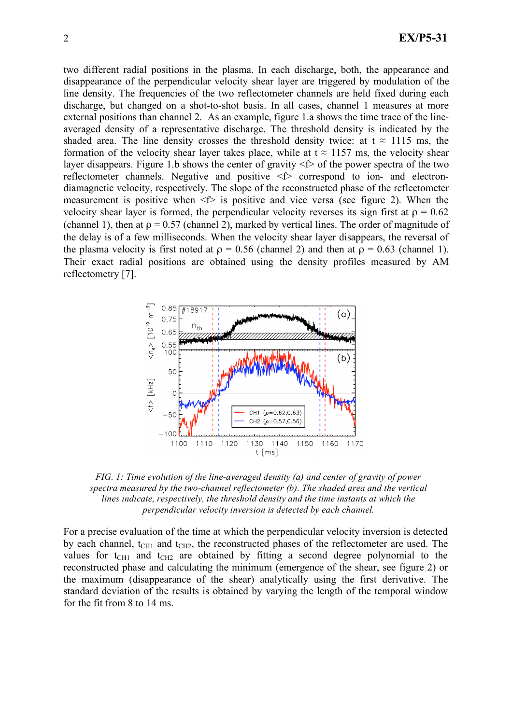two different radial positions in the plasma. In each discharge, both, the appearance and disappearance of the perpendicular velocity shear layer are triggered by modulation of the line density. The frequencies of the two reflectometer channels are held fixed during each discharge, but changed on a shot-to-shot basis. In all cases, channel 1 measures at more external positions than channel 2. As an example, figure 1.a shows the time trace of the lineaveraged density of a representative discharge. The threshold density is indicated by the shaded area. The line density crosses the threshold density twice: at t  $\approx$  1115 ms, the formation of the velocity shear layer takes place, while at  $t \approx 1157$  ms, the velocity shear layer disappears. Figure 1.b shows the center of gravity  $\leq$  f the power spectra of the two reflectometer channels. Negative and positive <f> correspond to ion- and electrondiamagnetic velocity, respectively. The slope of the reconstructed phase of the reflectometer measurement is positive when  $\leq f$  is positive and vice versa (see figure 2). When the velocity shear layer is formed, the perpendicular velocity reverses its sign first at  $\rho = 0.62$ (channel 1), then at  $\rho = 0.57$  (channel 2), marked by vertical lines. The order of magnitude of the delay is of a few milliseconds. When the velocity shear layer disappears, the reversal of the plasma velocity is first noted at  $\rho = 0.56$  (channel 2) and then at  $\rho = 0.63$  (channel 1). Their exact radial positions are obtained using the density profiles measured by AM reflectometry [7].



*FIG. 1: Time evolution of the line-averaged density (a) and center of gravity of power spectra measured by the two-channel reflectometer (b). The shaded area and the vertical lines indicate, respectively, the threshold density and the time instants at which the perpendicular velocity inversion is detected by each channel.* 

For a precise evaluation of the time at which the perpendicular velocity inversion is detected by each channel,  $t<sub>CH1</sub>$  and  $t<sub>CH2</sub>$ , the reconstructed phases of the reflectometer are used. The values for  $t<sub>CH1</sub>$  and  $t<sub>CH2</sub>$  are obtained by fitting a second degree polynomial to the reconstructed phase and calculating the minimum (emergence of the shear, see figure 2) or the maximum (disappearance of the shear) analytically using the first derivative. The standard deviation of the results is obtained by varying the length of the temporal window for the fit from 8 to 14 ms.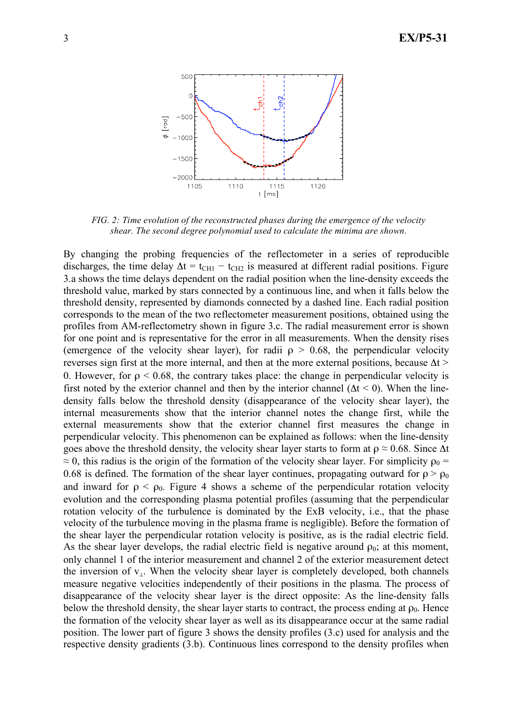

*FIG. 2: Time evolution of the reconstructed phases during the emergence of the velocity shear. The second degree polynomial used to calculate the minima are shown.*

By changing the probing frequencies of the reflectometer in a series of reproducible discharges, the time delay  $\Delta t = t_{CH1} - t_{CH2}$  is measured at different radial positions. Figure 3.a shows the time delays dependent on the radial position when the line-density exceeds the threshold value, marked by stars connected by a continuous line, and when it falls below the threshold density, represented by diamonds connected by a dashed line. Each radial position corresponds to the mean of the two reflectometer measurement positions, obtained using the profiles from AM-reflectometry shown in figure 3.c. The radial measurement error is shown for one point and is representative for the error in all measurements. When the density rises (emergence of the velocity shear layer), for radii  $\rho > 0.68$ , the perpendicular velocity reverses sign first at the more internal, and then at the more external positions, because  $\Delta t$  > 0. However, for  $\rho \le 0.68$ , the contrary takes place: the change in perpendicular velocity is first noted by the exterior channel and then by the interior channel ( $\Delta t < 0$ ). When the linedensity falls below the threshold density (disappearance of the velocity shear layer), the internal measurements show that the interior channel notes the change first, while the external measurements show that the exterior channel first measures the change in perpendicular velocity. This phenomenon can be explained as follows: when the line-density goes above the threshold density, the velocity shear layer starts to form at  $\rho \approx 0.68$ . Since  $\Delta t$  $\approx$  0, this radius is the origin of the formation of the velocity shear layer. For simplicity  $\rho_0$  = 0.68 is defined. The formation of the shear layer continues, propagating outward for  $\rho > \rho_0$ and inward for  $\rho < \rho_0$ . Figure 4 shows a scheme of the perpendicular rotation velocity evolution and the corresponding plasma potential profiles (assuming that the perpendicular rotation velocity of the turbulence is dominated by the ExB velocity, i.e., that the phase velocity of the turbulence moving in the plasma frame is negligible). Before the formation of the shear layer the perpendicular rotation velocity is positive, as is the radial electric field. As the shear layer develops, the radial electric field is negative around  $\rho_0$ ; at this moment, only channel 1 of the interior measurement and channel 2 of the exterior measurement detect the inversion of v⊥. When the velocity shear layer is completely developed, both channels measure negative velocities independently of their positions in the plasma. The process of disappearance of the velocity shear layer is the direct opposite: As the line-density falls below the threshold density, the shear layer starts to contract, the process ending at  $\rho_0$ . Hence the formation of the velocity shear layer as well as its disappearance occur at the same radial position. The lower part of figure 3 shows the density profiles (3.c) used for analysis and the respective density gradients (3.b). Continuous lines correspond to the density profiles when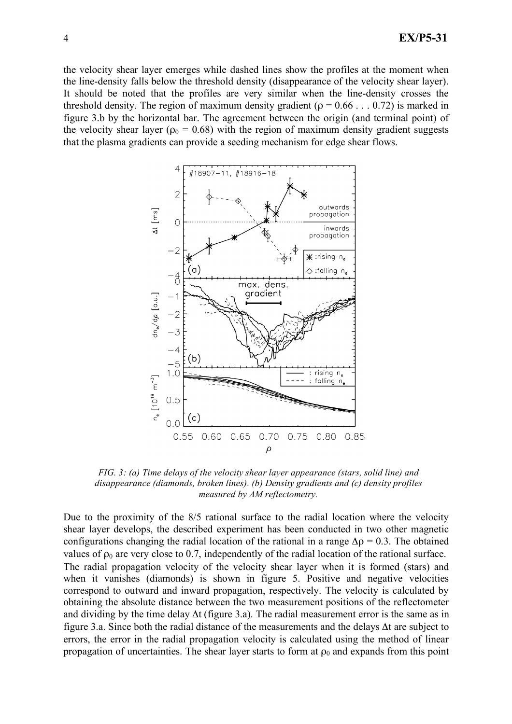the velocity shear layer emerges while dashed lines show the profiles at the moment when the line-density falls below the threshold density (disappearance of the velocity shear layer). It should be noted that the profiles are very similar when the line-density crosses the threshold density. The region of maximum density gradient ( $\rho = 0.66$ ... 0.72) is marked in figure 3.b by the horizontal bar. The agreement between the origin (and terminal point) of the velocity shear layer ( $\rho_0 = 0.68$ ) with the region of maximum density gradient suggests that the plasma gradients can provide a seeding mechanism for edge shear flows.



*FIG. 3: (a) Time delays of the velocity shear layer appearance (stars, solid line) and disappearance (diamonds, broken lines). (b) Density gradients and (c) density profiles measured by AM reflectometry.* 

Due to the proximity of the 8/5 rational surface to the radial location where the velocity shear layer develops, the described experiment has been conducted in two other magnetic configurations changing the radial location of the rational in a range  $\Delta \rho = 0.3$ . The obtained values of  $\rho_0$  are very close to 0.7, independently of the radial location of the rational surface. The radial propagation velocity of the velocity shear layer when it is formed (stars) and when it vanishes (diamonds) is shown in figure 5. Positive and negative velocities correspond to outward and inward propagation, respectively. The velocity is calculated by obtaining the absolute distance between the two measurement positions of the reflectometer and dividing by the time delay  $\Delta t$  (figure 3.a). The radial measurement error is the same as in figure 3.a. Since both the radial distance of the measurements and the delays Δt are subject to errors, the error in the radial propagation velocity is calculated using the method of linear propagation of uncertainties. The shear layer starts to form at  $\rho_0$  and expands from this point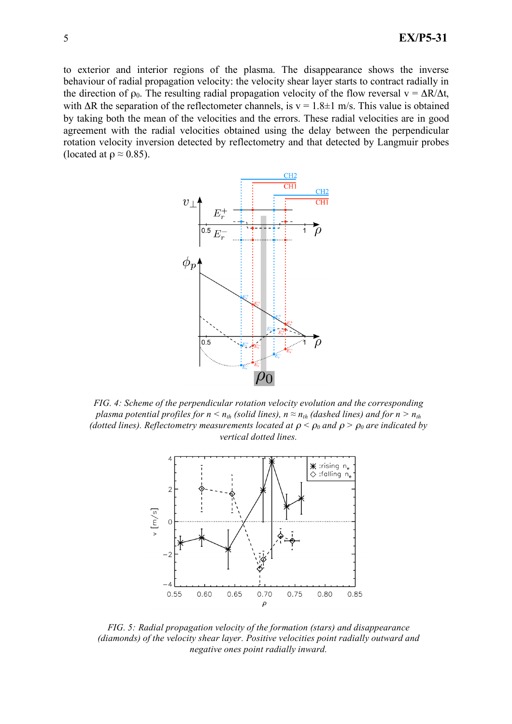to exterior and interior regions of the plasma. The disappearance shows the inverse behaviour of radial propagation velocity: the velocity shear layer starts to contract radially in the direction of  $\rho_0$ . The resulting radial propagation velocity of the flow reversal  $v = \Delta R/\Delta t$ , with  $\Delta R$  the separation of the reflectometer channels, is  $v = 1.8 \pm 1$  m/s. This value is obtained by taking both the mean of the velocities and the errors. These radial velocities are in good agreement with the radial velocities obtained using the delay between the perpendicular rotation velocity inversion detected by reflectometry and that detected by Langmuir probes (located at  $\rho \approx 0.85$ ).



*FIG. 4: Scheme of the perpendicular rotation velocity evolution and the corresponding plasma potential profiles for n*  $\lt n_{th}$  (solid lines),  $n \approx n_{th}$  (dashed lines) and for n  $> n_{th}$ *(dotted lines). Reflectometry measurements located at*  $\rho < \rho_0$  *and*  $\rho > \rho_0$  *are indicated by vertical dotted lines.*



*FIG. 5: Radial propagation velocity of the formation (stars) and disappearance (diamonds) of the velocity shear layer. Positive velocities point radially outward and negative ones point radially inward.*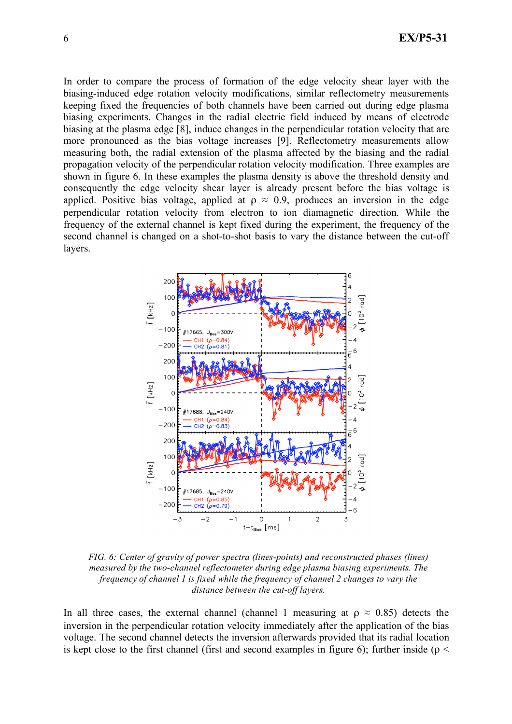In order to compare the process of formation of the edge velocity shear layer with the biasing-induced edge rotation velocity modifications, similar reflectometry measurements keeping fixed the frequencies of both channels have been carried out during edge plasma biasing experiments. Changes in the radial electric field induced by means of electrode biasing at the plasma edge [8], induce changes in the perpendicular rotation velocity that are more pronounced as the bias voltage increases [9]. Reflectometry measurements allow measuring both, the radial extension of the plasma affected by the biasing and the radial propagation velocity of the perpendicular rotation velocity modification. Three examples are shown in figure 6. In these examples the plasma density is above the threshold density and consequently the edge velocity shear layer is already present before the bias voltage is applied. Positive bias voltage, applied at  $\rho \approx 0.9$ , produces an inversion in the edge perpendicular rotation velocity from electron to ion diamagnetic direction. While the frequency of the external channel is kept fixed during the experiment, the frequency of the second channel is changed on a shot-to-shot basis to vary the distance between the cut-off layers.



*FIG. 6: Center of gravity of power spectra (lines-points) and reconstructed phases (lines) measured by the two-channel reflectometer during edge plasma biasing experiments. The frequency of channel 1 is fixed while the frequency of channel 2 changes to vary the distance between the cut-off layers.*

In all three cases, the external channel (channel 1 measuring at  $\rho \approx 0.85$ ) detects the inversion in the perpendicular rotation velocity immediately after the application of the bias voltage. The second channel detects the inversion afterwards provided that its radial location is kept close to the first channel (first and second examples in figure 6); further inside ( $\rho$  <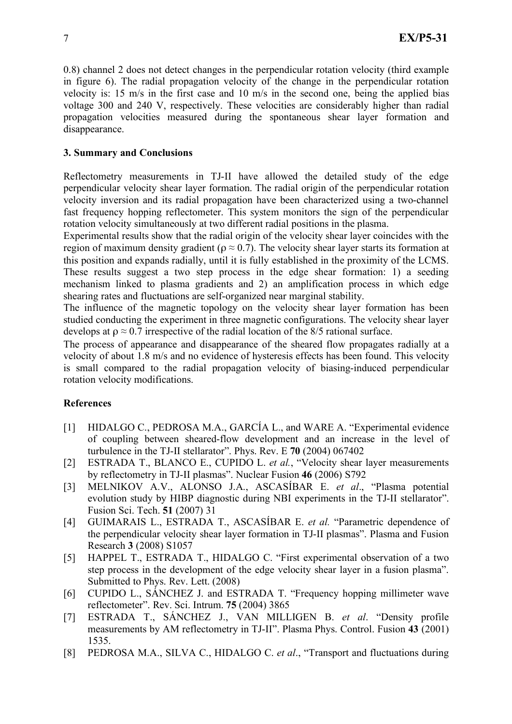0.8) channel 2 does not detect changes in the perpendicular rotation velocity (third example in figure 6). The radial propagation velocity of the change in the perpendicular rotation velocity is: 15 m/s in the first case and 10 m/s in the second one, being the applied bias voltage 300 and 240 V, respectively. These velocities are considerably higher than radial propagation velocities measured during the spontaneous shear layer formation and disappearance.

## **3. Summary and Conclusions**

Reflectometry measurements in TJ-II have allowed the detailed study of the edge perpendicular velocity shear layer formation. The radial origin of the perpendicular rotation velocity inversion and its radial propagation have been characterized using a two-channel fast frequency hopping reflectometer. This system monitors the sign of the perpendicular rotation velocity simultaneously at two different radial positions in the plasma.

Experimental results show that the radial origin of the velocity shear layer coincides with the region of maximum density gradient ( $\rho \approx 0.7$ ). The velocity shear layer starts its formation at this position and expands radially, until it is fully established in the proximity of the LCMS. These results suggest a two step process in the edge shear formation: 1) a seeding mechanism linked to plasma gradients and 2) an amplification process in which edge shearing rates and fluctuations are self-organized near marginal stability.

The influence of the magnetic topology on the velocity shear layer formation has been studied conducting the experiment in three magnetic configurations. The velocity shear layer develops at  $\rho \approx 0.7$  irrespective of the radial location of the 8/5 rational surface.

The process of appearance and disappearance of the sheared flow propagates radially at a velocity of about 1.8 m/s and no evidence of hysteresis effects has been found. This velocity is small compared to the radial propagation velocity of biasing-induced perpendicular rotation velocity modifications.

### **References**

- [1] HIDALGO C., PEDROSA M.A., GARCÍA L., and WARE A. "Experimental evidence of coupling between sheared-flow development and an increase in the level of turbulence in the TJ-II stellarator". Phys. Rev. E **70** (2004) 067402
- [2] ESTRADA T., BLANCO E., CUPIDO L. *et al.*, "Velocity shear layer measurements by reflectometry in TJ-II plasmas". Nuclear Fusion **46** (2006) S792
- [3] MELNIKOV A.V., ALONSO J.A., ASCASÍBAR E. *et al*., "Plasma potential evolution study by HIBP diagnostic during NBI experiments in the TJ-II stellarator". Fusion Sci. Tech. **51** (2007) 31
- [4] GUIMARAIS L., ESTRADA T., ASCASÍBAR E. *et al.* "Parametric dependence of the perpendicular velocity shear layer formation in TJ-II plasmas". Plasma and Fusion Research **3** (2008) S1057
- [5] HAPPEL T., ESTRADA T., HIDALGO C. "First experimental observation of a two step process in the development of the edge velocity shear layer in a fusion plasma". Submitted to Phys. Rev. Lett. (2008)
- [6] CUPIDO L., SÁNCHEZ J. and ESTRADA T. "Frequency hopping millimeter wave reflectometer". Rev. Sci. Intrum. **75** (2004) 3865
- [7] ESTRADA T., SÁNCHEZ J., VAN MILLIGEN B. *et al*. "Density profile measurements by AM reflectometry in TJ-II". Plasma Phys. Control. Fusion **43** (2001) 1535.
- [8] PEDROSA M.A., SILVA C., HIDALGO C. *et al*., "Transport and fluctuations during